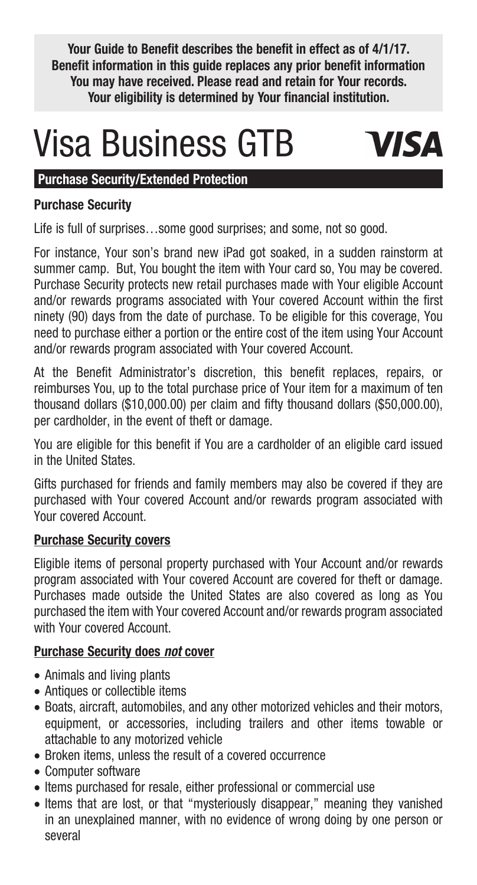**Your Guide to Benefit describes the benefit in effect as of 4/1/17. Benefit information in this guide replaces any prior benefit information You may have received. Please read and retain for Your records. Your eligibility is determined by Your financial institution.**

# Visa Business GTB



# **Purchase Security/Extended Protection**

# **Purchase Security**

Life is full of surprises…some good surprises; and some, not so good.

For instance, Your son's brand new iPad got soaked, in a sudden rainstorm at summer camp. But, You bought the item with Your card so, You may be covered. Purchase Security protects new retail purchases made with Your eligible Account and/or rewards programs associated with Your covered Account within the first ninety (90) days from the date of purchase. To be eligible for this coverage, You need to purchase either a portion or the entire cost of the item using Your Account and/or rewards program associated with Your covered Account.

At the Benefit Administrator's discretion, this benefit replaces, repairs, or reimburses You, up to the total purchase price of Your item for a maximum of ten thousand dollars (\$10,000.00) per claim and fifty thousand dollars (\$50,000.00), per cardholder, in the event of theft or damage.

You are eligible for this benefit if You are a cardholder of an eligible card issued in the United States.

Gifts purchased for friends and family members may also be covered if they are purchased with Your covered Account and/or rewards program associated with Your covered Account.

# **Purchase Security covers**

Eligible items of personal property purchased with Your Account and/or rewards program associated with Your covered Account are covered for theft or damage. Purchases made outside the United States are also covered as long as You purchased the item with Your covered Account and/or rewards program associated with Your covered Account.

# **Purchase Security does** *not* **cover**

- Animals and living plants
- Antiques or collectible items
- Boats, aircraft, automobiles, and any other motorized vehicles and their motors, equipment, or accessories, including trailers and other items towable or attachable to any motorized vehicle
- Broken items, unless the result of a covered occurrence
- • Computer software
- • Items purchased for resale, either professional or commercial use
- Items that are lost, or that "mysteriously disappear," meaning they vanished in an unexplained manner, with no evidence of wrong doing by one person or several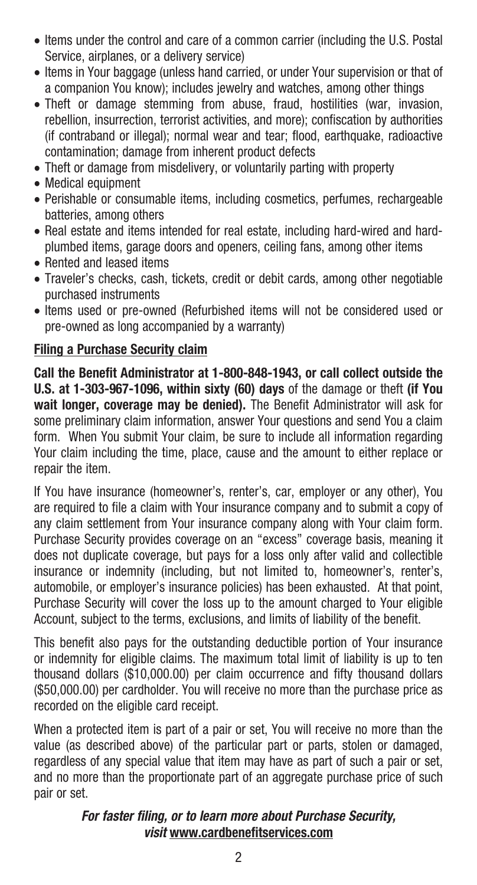- Items under the control and care of a common carrier (including the U.S. Postal Service, airplanes, or a delivery service)
- Items in Your baggage (unless hand carried, or under Your supervision or that of a companion You know); includes jewelry and watches, among other things
- Theft or damage stemming from abuse, fraud, hostilities (war, invasion, rebellion, insurrection, terrorist activities, and more); confiscation by authorities (if contraband or illegal); normal wear and tear; flood, earthquake, radioactive contamination; damage from inherent product defects
- Theft or damage from misdelivery, or voluntarily parting with property
- • Medical equipment
- Perishable or consumable items, including cosmetics, perfumes, rechargeable batteries, among others
- Real estate and items intended for real estate, including hard-wired and hardplumbed items, garage doors and openers, ceiling fans, among other items
- Rented and leased items
- Traveler's checks, cash, tickets, credit or debit cards, among other negotiable purchased instruments
- Items used or pre-owned (Refurbished items will not be considered used or pre-owned as long accompanied by a warranty)

# **Filing a Purchase Security claim**

**Call the Benefit Administrator at 1-800-848-1943, or call collect outside the U.S. at 1-303-967-1096, within sixty (60) days** of the damage or theft **(if You wait longer, coverage may be denied).** The Benefit Administrator will ask for some preliminary claim information, answer Your questions and send You a claim form. When You submit Your claim, be sure to include all information regarding Your claim including the time, place, cause and the amount to either replace or repair the item.

If You have insurance (homeowner's, renter's, car, employer or any other), You are required to file a claim with Your insurance company and to submit a copy of any claim settlement from Your insurance company along with Your claim form. Purchase Security provides coverage on an "excess" coverage basis, meaning it does not duplicate coverage, but pays for a loss only after valid and collectible insurance or indemnity (including, but not limited to, homeowner's, renter's, automobile, or employer's insurance policies) has been exhausted. At that point, Purchase Security will cover the loss up to the amount charged to Your eligible Account, subject to the terms, exclusions, and limits of liability of the benefit.

This benefit also pays for the outstanding deductible portion of Your insurance or indemnity for eligible claims. The maximum total limit of liability is up to ten thousand dollars (\$10,000.00) per claim occurrence and fifty thousand dollars (\$50,000.00) per cardholder. You will receive no more than the purchase price as recorded on the eligible card receipt.

When a protected item is part of a pair or set, You will receive no more than the value (as described above) of the particular part or parts, stolen or damaged, regardless of any special value that item may have as part of such a pair or set, and no more than the proportionate part of an aggregate purchase price of such pair or set.

#### *For faster filing, or to learn more about Purchase Security, visit* **www.cardbenefitservices.com**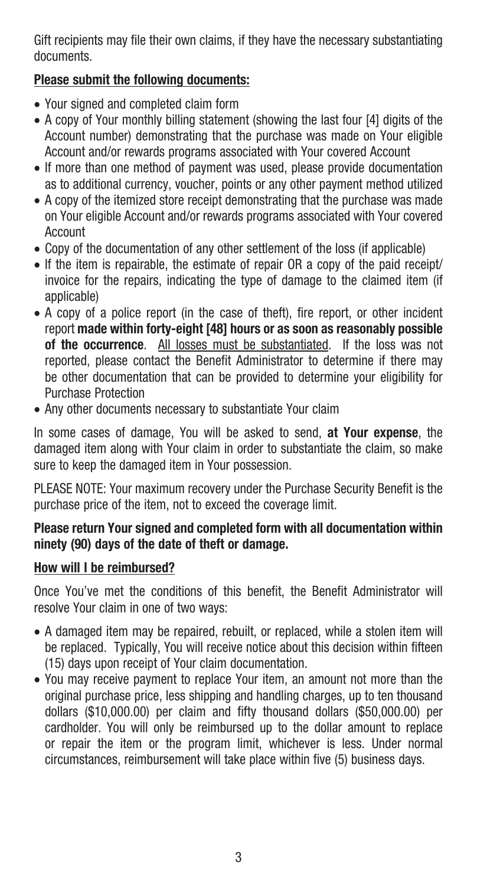Gift recipients may file their own claims, if they have the necessary substantiating documents.

# **Please submit the following documents:**

- • Your signed and completed claim form
- A copy of Your monthly billing statement (showing the last four [4] digits of the Account number) demonstrating that the purchase was made on Your eligible Account and/or rewards programs associated with Your covered Account
- If more than one method of payment was used, please provide documentation as to additional currency, voucher, points or any other payment method utilized
- A copy of the itemized store receipt demonstrating that the purchase was made on Your eligible Account and/or rewards programs associated with Your covered Account
- Copy of the documentation of any other settlement of the loss (if applicable)
- If the item is repairable, the estimate of repair OR a copy of the paid receipt/ invoice for the repairs, indicating the type of damage to the claimed item (if applicable)
- A copy of a police report (in the case of theft), fire report, or other incident report **made within forty-eight [48] hours or as soon as reasonably possible of the occurrence**. All losses must be substantiated. If the loss was not reported, please contact the Benefit Administrator to determine if there may be other documentation that can be provided to determine your eligibility for Purchase Protection
- Any other documents necessary to substantiate Your claim

In some cases of damage, You will be asked to send, **at Your expense**, the damaged item along with Your claim in order to substantiate the claim, so make sure to keep the damaged item in Your possession.

PLEASE NOTE: Your maximum recovery under the Purchase Security Benefit is the purchase price of the item, not to exceed the coverage limit.

#### **Please return Your signed and completed form with all documentation within ninety (90) days of the date of theft or damage.**

# **How will I be reimbursed?**

Once You've met the conditions of this benefit, the Benefit Administrator will resolve Your claim in one of two ways:

- A damaged item may be repaired, rebuilt, or replaced, while a stolen item will be replaced. Typically, You will receive notice about this decision within fifteen (15) days upon receipt of Your claim documentation.
- You may receive payment to replace Your item, an amount not more than the original purchase price, less shipping and handling charges, up to ten thousand dollars (\$10,000.00) per claim and fifty thousand dollars (\$50,000.00) per cardholder. You will only be reimbursed up to the dollar amount to replace or repair the item or the program limit, whichever is less. Under normal circumstances, reimbursement will take place within five (5) business days.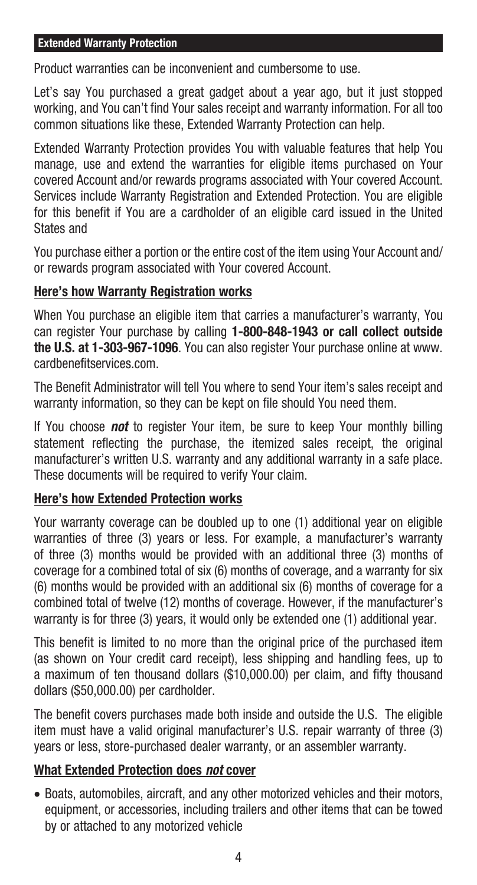#### **Extended Warranty Protection**

Product warranties can be inconvenient and cumbersome to use.

Let's say You purchased a great gadget about a year ago, but it just stopped working, and You can't find Your sales receipt and warranty information. For all too common situations like these, Extended Warranty Protection can help.

Extended Warranty Protection provides You with valuable features that help You manage, use and extend the warranties for eligible items purchased on Your covered Account and/or rewards programs associated with Your covered Account. Services include Warranty Registration and Extended Protection. You are eligible for this benefit if You are a cardholder of an eligible card issued in the United States and

You purchase either a portion or the entire cost of the item using Your Account and/ or rewards program associated with Your covered Account.

#### **Here's how Warranty Registration works**

When You purchase an eligible item that carries a manufacturer's warranty, You can register Your purchase by calling **1-800-848-1943 or call collect outside the U.S. at 1-303-967-1096**. You can also register Your purchase online at www. cardbenefitservices.com.

The Benefit Administrator will tell You where to send Your item's sales receipt and warranty information, so they can be kept on file should You need them.

If You choose *not* to register Your item, be sure to keep Your monthly billing statement reflecting the purchase, the itemized sales receipt, the original manufacturer's written U.S. warranty and any additional warranty in a safe place. These documents will be required to verify Your claim.

# **Here's how Extended Protection works**

Your warranty coverage can be doubled up to one (1) additional year on eligible warranties of three (3) years or less. For example, a manufacturer's warranty of three (3) months would be provided with an additional three (3) months of coverage for a combined total of six (6) months of coverage, and a warranty for six (6) months would be provided with an additional six (6) months of coverage for a combined total of twelve (12) months of coverage. However, if the manufacturer's warranty is for three (3) years, it would only be extended one (1) additional year.

This benefit is limited to no more than the original price of the purchased item (as shown on Your credit card receipt), less shipping and handling fees, up to a maximum of ten thousand dollars (\$10,000.00) per claim, and fifty thousand dollars (\$50,000.00) per cardholder.

The benefit covers purchases made both inside and outside the U.S. The eligible item must have a valid original manufacturer's U.S. repair warranty of three (3) years or less, store-purchased dealer warranty, or an assembler warranty.

# **What Extended Protection does** *not* **cover**

• Boats, automobiles, aircraft, and any other motorized vehicles and their motors, equipment, or accessories, including trailers and other items that can be towed by or attached to any motorized vehicle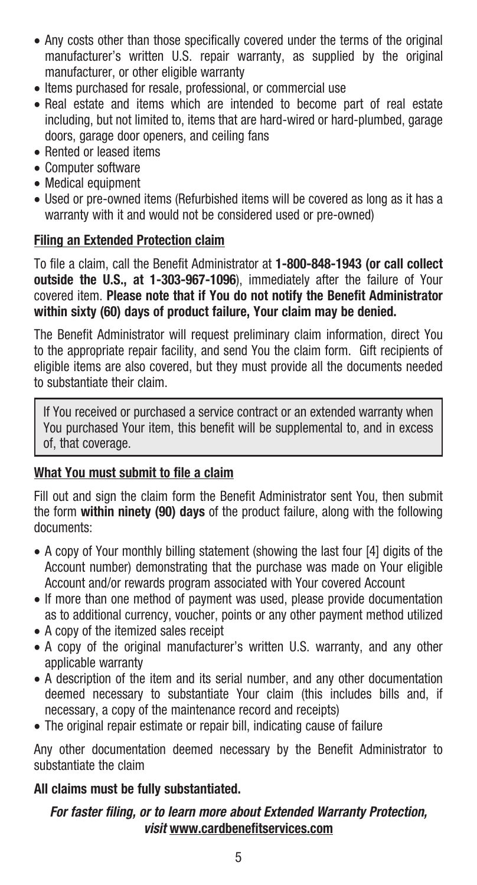- Any costs other than those specifically covered under the terms of the original manufacturer's written U.S. repair warranty, as supplied by the original manufacturer, or other eligible warranty
- Items purchased for resale, professional, or commercial use
- Real estate and items which are intended to become part of real estate including, but not limited to, items that are hard-wired or hard-plumbed, garage doors, garage door openers, and ceiling fans
- Rented or leased items
- • Computer software
- Medical equipment
- Used or pre-owned items (Refurbished items will be covered as long as it has a warranty with it and would not be considered used or pre-owned)

# **Filing an Extended Protection claim**

To file a claim, call the Benefit Administrator at **1-800-848-1943 (or call collect outside the U.S., at 1-303-967-1096**), immediately after the failure of Your covered item. **Please note that if You do not notify the Benefit Administrator within sixty (60) days of product failure, Your claim may be denied.** 

The Benefit Administrator will request preliminary claim information, direct You to the appropriate repair facility, and send You the claim form. Gift recipients of eligible items are also covered, but they must provide all the documents needed to substantiate their claim.

If You received or purchased a service contract or an extended warranty when You purchased Your item, this benefit will be supplemental to, and in excess of, that coverage.

# **What You must submit to file a claim**

Fill out and sign the claim form the Benefit Administrator sent You, then submit the form **within ninety (90) days** of the product failure, along with the following documents:

- A copy of Your monthly billing statement (showing the last four [4] digits of the Account number) demonstrating that the purchase was made on Your eligible Account and/or rewards program associated with Your covered Account
- If more than one method of payment was used, please provide documentation as to additional currency, voucher, points or any other payment method utilized
- A copy of the itemized sales receipt
- A copy of the original manufacturer's written U.S. warranty, and any other applicable warranty
- • A description of the item and its serial number, and any other documentation deemed necessary to substantiate Your claim (this includes bills and, if necessary, a copy of the maintenance record and receipts)
- The original repair estimate or repair bill, indicating cause of failure

Any other documentation deemed necessary by the Benefit Administrator to substantiate the claim

# **All claims must be fully substantiated.**

#### *For faster filing, or to learn more about Extended Warranty Protection, visit* **www.cardbenefitservices.com**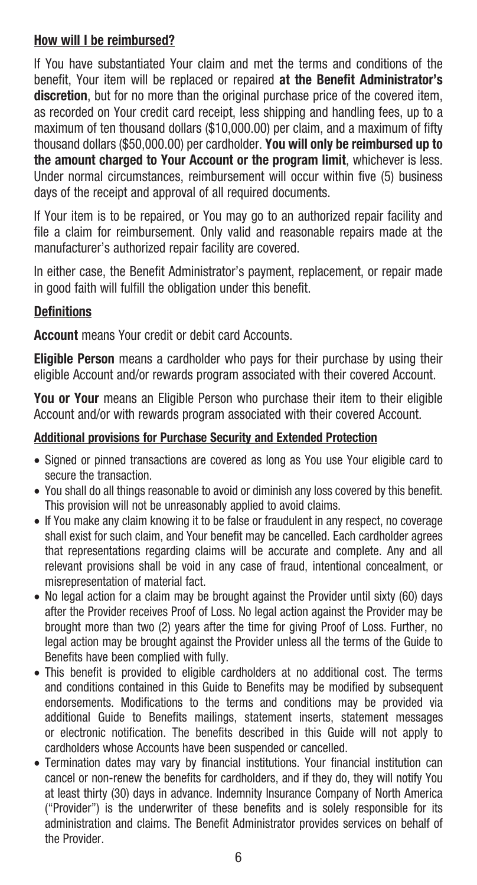# **How will I be reimbursed?**

If You have substantiated Your claim and met the terms and conditions of the benefit, Your item will be replaced or repaired **at the Benefit Administrator's discretion**, but for no more than the original purchase price of the covered item, as recorded on Your credit card receipt, less shipping and handling fees, up to a maximum of ten thousand dollars (\$10,000.00) per claim, and a maximum of fifty thousand dollars (\$50,000.00) per cardholder. **You will only be reimbursed up to the amount charged to Your Account or the program limit**, whichever is less. Under normal circumstances, reimbursement will occur within five (5) business days of the receipt and approval of all required documents.

If Your item is to be repaired, or You may go to an authorized repair facility and file a claim for reimbursement. Only valid and reasonable repairs made at the manufacturer's authorized repair facility are covered.

In either case, the Benefit Administrator's payment, replacement, or repair made in good faith will fulfill the obligation under this benefit.

#### **Definitions**

**Account** means Your credit or debit card Accounts.

**Eligible Person** means a cardholder who pays for their purchase by using their eligible Account and/or rewards program associated with their covered Account.

**You or Your** means an Eligible Person who purchase their item to their eligible Account and/or with rewards program associated with their covered Account.

#### **Additional provisions for Purchase Security and Extended Protection**

- • Signed or pinned transactions are covered as long as You use Your eligible card to secure the transaction
- You shall do all things reasonable to avoid or diminish any loss covered by this benefit. This provision will not be unreasonably applied to avoid claims.
- If You make any claim knowing it to be false or fraudulent in any respect, no coverage shall exist for such claim, and Your benefit may be cancelled. Each cardholder agrees that representations regarding claims will be accurate and complete. Any and all relevant provisions shall be void in any case of fraud, intentional concealment, or misrepresentation of material fact.
- No legal action for a claim may be brought against the Provider until sixty (60) days after the Provider receives Proof of Loss. No legal action against the Provider may be brought more than two (2) years after the time for giving Proof of Loss. Further, no legal action may be brought against the Provider unless all the terms of the Guide to Benefits have been complied with fully.
- This benefit is provided to eligible cardholders at no additional cost. The terms and conditions contained in this Guide to Benefits may be modified by subsequent endorsements. Modifications to the terms and conditions may be provided via additional Guide to Benefits mailings, statement inserts, statement messages or electronic notification. The benefits described in this Guide will not apply to cardholders whose Accounts have been suspended or cancelled.
- Termination dates may vary by financial institutions. Your financial institution can cancel or non-renew the benefits for cardholders, and if they do, they will notify You at least thirty (30) days in advance. Indemnity Insurance Company of North America ("Provider") is the underwriter of these benefits and is solely responsible for its administration and claims. The Benefit Administrator provides services on behalf of the Provider.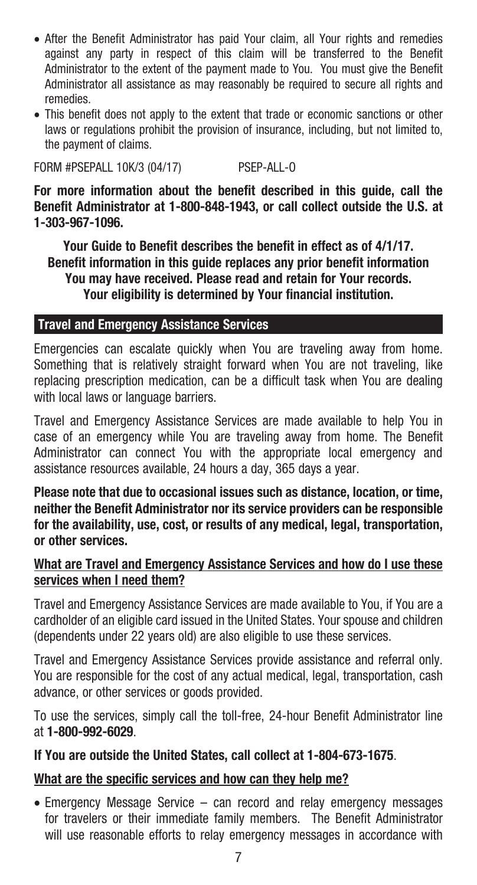- After the Benefit Administrator has paid Your claim, all Your rights and remedies against any party in respect of this claim will be transferred to the Benefit Administrator to the extent of the payment made to You. You must give the Benefit Administrator all assistance as may reasonably be required to secure all rights and remedies.
- This benefit does not apply to the extent that trade or economic sanctions or other laws or regulations prohibit the provision of insurance, including, but not limited to, the payment of claims.

FORM #PSEPALL 10K/3 (04/17) PSEP-ALL-O

**For more information about the benefit described in this guide, call the Benefit Administrator at 1-800-848-1943, or call collect outside the U.S. at 1-303-967-1096.**

**Your Guide to Benefit describes the benefit in effect as of 4/1/17. Benefit information in this guide replaces any prior benefit information You may have received. Please read and retain for Your records. Your eligibility is determined by Your financial institution.** 

#### **Travel and Emergency Assistance Services**

Emergencies can escalate quickly when You are traveling away from home. Something that is relatively straight forward when You are not traveling, like replacing prescription medication, can be a difficult task when You are dealing with local laws or language barriers.

Travel and Emergency Assistance Services are made available to help You in case of an emergency while You are traveling away from home. The Benefit Administrator can connect You with the appropriate local emergency and assistance resources available, 24 hours a day, 365 days a year.

**Please note that due to occasional issues such as distance, location, or time, neither the Benefit Administrator nor its service providers can be responsible for the availability, use, cost, or results of any medical, legal, transportation, or other services.** 

#### **What are Travel and Emergency Assistance Services and how do I use these services when I need them?**

Travel and Emergency Assistance Services are made available to You, if You are a cardholder of an eligible card issued in the United States. Your spouse and children (dependents under 22 years old) are also eligible to use these services.

Travel and Emergency Assistance Services provide assistance and referral only. You are responsible for the cost of any actual medical, legal, transportation, cash advance, or other services or goods provided.

To use the services, simply call the toll-free, 24-hour Benefit Administrator line at **1-800-992-6029**.

#### **If You are outside the United States, call collect at 1-804-673-1675**.

# **What are the specific services and how can they help me?**

• Emergency Message Service – can record and relay emergency messages for travelers or their immediate family members. The Benefit Administrator will use reasonable efforts to relay emergency messages in accordance with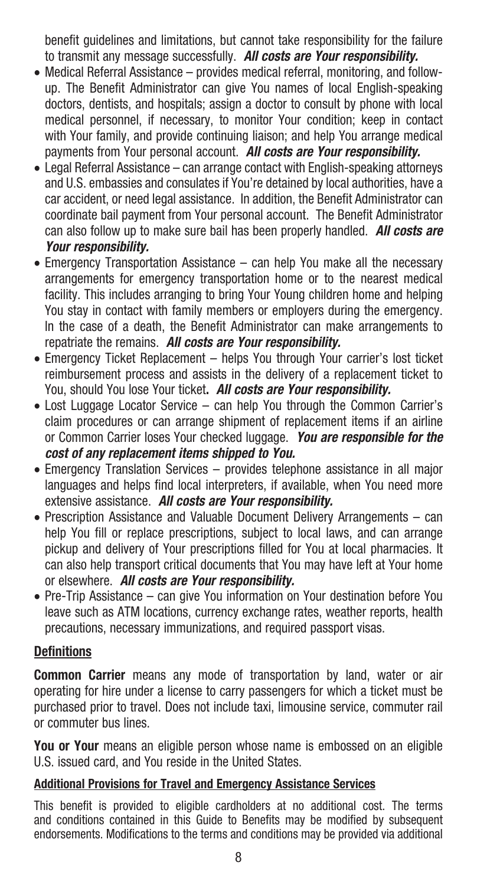benefit guidelines and limitations, but cannot take responsibility for the failure to transmit any message successfully. *All costs are Your responsibility.*

- Medical Referral Assistance provides medical referral, monitoring, and followup. The Benefit Administrator can give You names of local English-speaking doctors, dentists, and hospitals; assign a doctor to consult by phone with local medical personnel, if necessary, to monitor Your condition; keep in contact with Your family, and provide continuing liaison; and help You arrange medical payments from Your personal account. *All costs are Your responsibility.*
- Legal Referral Assistance can arrange contact with English-speaking attorneys and U.S. embassies and consulates if You're detained by local authorities, have a car accident, or need legal assistance. In addition, the Benefit Administrator can coordinate bail payment from Your personal account. The Benefit Administrator can also follow up to make sure bail has been properly handled. *All costs are Your responsibility.*
- Emergency Transportation Assistance can help You make all the necessary arrangements for emergency transportation home or to the nearest medical facility. This includes arranging to bring Your Young children home and helping You stay in contact with family members or employers during the emergency. In the case of a death, the Benefit Administrator can make arrangements to repatriate the remains. *All costs are Your responsibility.*
- Emergency Ticket Replacement helps You through Your carrier's lost ticket reimbursement process and assists in the delivery of a replacement ticket to You, should You lose Your ticket**.** *All costs are Your responsibility.*
- Lost Luggage Locator Service can help You through the Common Carrier's claim procedures or can arrange shipment of replacement items if an airline or Common Carrier loses Your checked luggage. *You are responsible for the cost of any replacement items shipped to You.*
- Emergency Translation Services provides telephone assistance in all major languages and helps find local interpreters, if available, when You need more extensive assistance. *All costs are Your responsibility.*
- Prescription Assistance and Valuable Document Delivery Arrangements can help You fill or replace prescriptions, subject to local laws, and can arrange pickup and delivery of Your prescriptions filled for You at local pharmacies. It can also help transport critical documents that You may have left at Your home or elsewhere. *All costs are Your responsibility.*
- Pre-Trip Assistance can give You information on Your destination before You leave such as ATM locations, currency exchange rates, weather reports, health precautions, necessary immunizations, and required passport visas.

# **Definitions**

**Common Carrier** means any mode of transportation by land, water or air operating for hire under a license to carry passengers for which a ticket must be purchased prior to travel. Does not include taxi, limousine service, commuter rail or commuter bus lines.

**You or Your** means an eligible person whose name is embossed on an eligible U.S. issued card, and You reside in the United States.

# **Additional Provisions for Travel and Emergency Assistance Services**

This benefit is provided to eligible cardholders at no additional cost. The terms and conditions contained in this Guide to Benefits may be modified by subsequent endorsements. Modifications to the terms and conditions may be provided via additional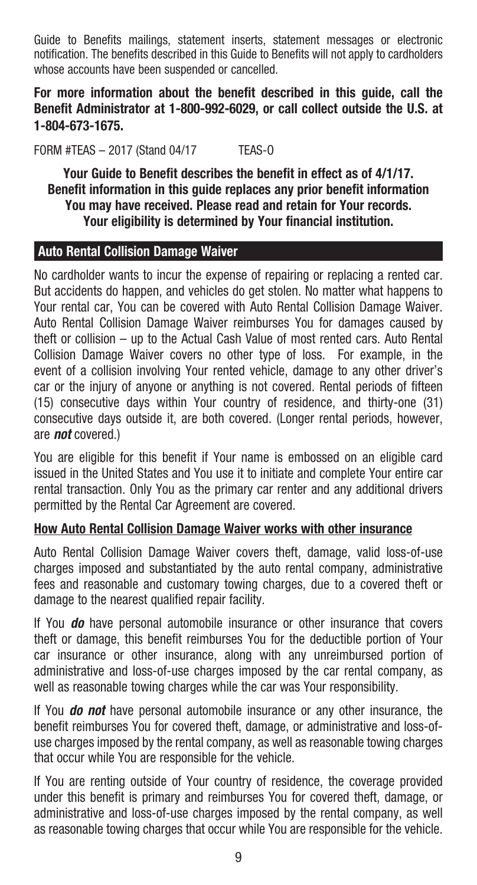Guide to Benefits mailings, statement inserts, statement messages or electronic notification. The benefits described in this Guide to Benefits will not apply to cardholders whose accounts have been suspended or cancelled.

**For more information about the benefit described in this guide, call the Benefit Administrator at 1-800-992-6029, or call collect outside the U.S. at 1-804-673-1675.** 

FORM #TEAS – 2017 (Stand 04/17 TEAS-O

**Your Guide to Benefit describes the benefit in effect as of 4/1/17. Benefit information in this guide replaces any prior benefit information You may have received. Please read and retain for Your records. Your eligibility is determined by Your financial institution.**

#### **Auto Rental Collision Damage Waiver**

No cardholder wants to incur the expense of repairing or replacing a rented car. But accidents do happen, and vehicles do get stolen. No matter what happens to Your rental car, You can be covered with Auto Rental Collision Damage Waiver. Auto Rental Collision Damage Waiver reimburses You for damages caused by theft or collision – up to the Actual Cash Value of most rented cars. Auto Rental Collision Damage Waiver covers no other type of loss. For example, in the event of a collision involving Your rented vehicle, damage to any other driver's car or the injury of anyone or anything is not covered. Rental periods of fifteen (15) consecutive days within Your country of residence, and thirty-one (31) consecutive days outside it, are both covered. (Longer rental periods, however, are *not* covered.)

You are eligible for this benefit if Your name is embossed on an eligible card issued in the United States and You use it to initiate and complete Your entire car rental transaction. Only You as the primary car renter and any additional drivers permitted by the Rental Car Agreement are covered.

#### **How Auto Rental Collision Damage Waiver works with other insurance**

Auto Rental Collision Damage Waiver covers theft, damage, valid loss-of-use charges imposed and substantiated by the auto rental company, administrative fees and reasonable and customary towing charges, due to a covered theft or damage to the nearest qualified repair facility.

If You *do* have personal automobile insurance or other insurance that covers theft or damage, this benefit reimburses You for the deductible portion of Your car insurance or other insurance, along with any unreimbursed portion of administrative and loss-of-use charges imposed by the car rental company, as well as reasonable towing charges while the car was Your responsibility.

If You *do not* have personal automobile insurance or any other insurance, the benefit reimburses You for covered theft, damage, or administrative and loss-ofuse charges imposed by the rental company, as well as reasonable towing charges that occur while You are responsible for the vehicle.

If You are renting outside of Your country of residence, the coverage provided under this benefit is primary and reimburses You for covered theft, damage, or administrative and loss-of-use charges imposed by the rental company, as well as reasonable towing charges that occur while You are responsible for the vehicle.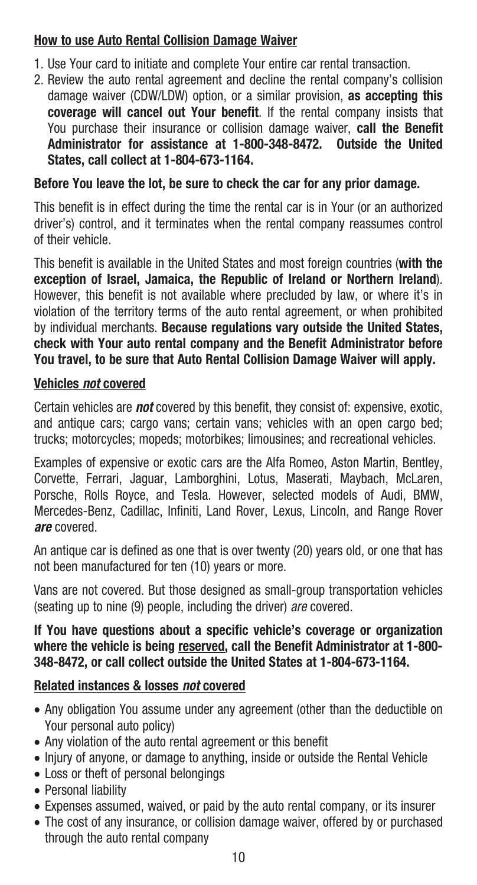# **How to use Auto Rental Collision Damage Waiver**

- 1. Use Your card to initiate and complete Your entire car rental transaction.
- 2. Review the auto rental agreement and decline the rental company's collision damage waiver (CDW/LDW) option, or a similar provision, **as accepting this coverage will cancel out Your benefit**. If the rental company insists that You purchase their insurance or collision damage waiver, **call the Benefit Administrator for assistance at 1-800-348-8472. Outside the United States, call collect at 1-804-673-1164.**

# **Before You leave the lot, be sure to check the car for any prior damage.**

This benefit is in effect during the time the rental car is in Your (or an authorized driver's) control, and it terminates when the rental company reassumes control of their vehicle.

This benefit is available in the United States and most foreign countries (**with the exception of Israel, Jamaica, the Republic of Ireland or Northern Ireland**). However, this benefit is not available where precluded by law, or where it's in violation of the territory terms of the auto rental agreement, or when prohibited by individual merchants. **Because regulations vary outside the United States, check with Your auto rental company and the Benefit Administrator before You travel, to be sure that Auto Rental Collision Damage Waiver will apply.**

# **Vehicles** *not* **covered**

Certain vehicles are *not* covered by this benefit, they consist of: expensive, exotic, and antique cars; cargo vans; certain vans; vehicles with an open cargo bed; trucks; motorcycles; mopeds; motorbikes; limousines; and recreational vehicles.

Examples of expensive or exotic cars are the Alfa Romeo, Aston Martin, Bentley, Corvette, Ferrari, Jaguar, Lamborghini, Lotus, Maserati, Maybach, McLaren, Porsche, Rolls Royce, and Tesla. However, selected models of Audi, BMW, Mercedes-Benz, Cadillac, Infiniti, Land Rover, Lexus, Lincoln, and Range Rover *are* covered.

An antique car is defined as one that is over twenty (20) years old, or one that has not been manufactured for ten (10) years or more.

Vans are not covered. But those designed as small-group transportation vehicles (seating up to nine (9) people, including the driver) *are* covered.

#### **If You have questions about a specific vehicle's coverage or organization where the vehicle is being reserved, call the Benefit Administrator at 1-800- 348-8472, or call collect outside the United States at 1-804-673-1164.**

# **Related instances & losses** *not* **covered**

- Any obligation You assume under any agreement (other than the deductible on Your personal auto policy)
- Any violation of the auto rental agreement or this benefit
- Injury of anyone, or damage to anything, inside or outside the Rental Vehicle
- • Loss or theft of personal belongings
- • Personal liability
- Expenses assumed, waived, or paid by the auto rental company, or its insurer
- The cost of any insurance, or collision damage waiver, offered by or purchased through the auto rental company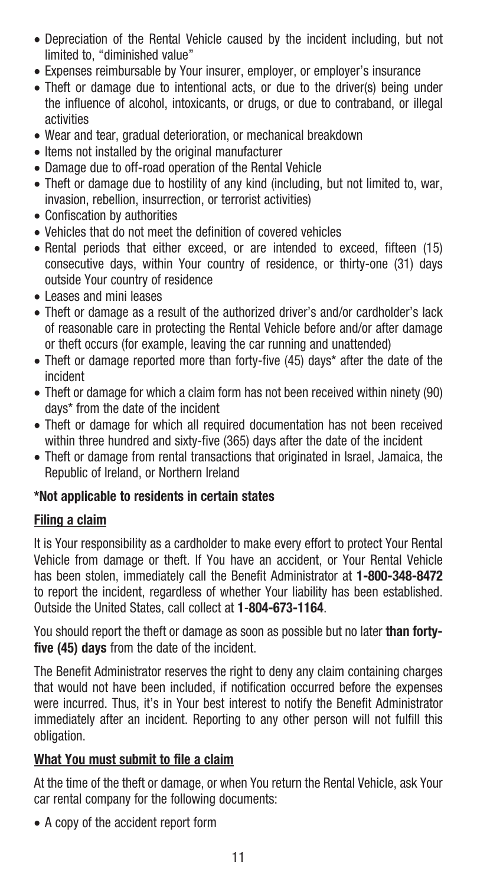- Depreciation of the Rental Vehicle caused by the incident including, but not limited to, "diminished value"
- Expenses reimbursable by Your insurer, employer, or employer's insurance
- Theft or damage due to intentional acts, or due to the driver(s) being under the influence of alcohol, intoxicants, or drugs, or due to contraband, or illegal activities
- Wear and tear, gradual deterioration, or mechanical breakdown
- Items not installed by the original manufacturer
- Damage due to off-road operation of the Rental Vehicle
- Theft or damage due to hostility of any kind (including, but not limited to, war, invasion, rebellion, insurrection, or terrorist activities)
- Confiscation by authorities
- Vehicles that do not meet the definition of covered vehicles
- Rental periods that either exceed, or are intended to exceed, fifteen (15) consecutive days, within Your country of residence, or thirty-one (31) days outside Your country of residence
- • Leases and mini leases
- Theft or damage as a result of the authorized driver's and/or cardholder's lack of reasonable care in protecting the Rental Vehicle before and/or after damage or theft occurs (for example, leaving the car running and unattended)
- Theft or damage reported more than forty-five (45) days\* after the date of the incident
- Theft or damage for which a claim form has not been received within ninety (90) days\* from the date of the incident
- Theft or damage for which all required documentation has not been received within three hundred and sixty-five (365) days after the date of the incident
- Theft or damage from rental transactions that originated in Israel, Jamaica, the Republic of Ireland, or Northern Ireland

# **\*Not applicable to residents in certain states**

# **Filing a claim**

It is Your responsibility as a cardholder to make every effort to protect Your Rental Vehicle from damage or theft. If You have an accident, or Your Rental Vehicle has been stolen, immediately call the Benefit Administrator at **1-800-348-8472** to report the incident, regardless of whether Your liability has been established. Outside the United States, call collect at **1**-**804-673-1164**.

You should report the theft or damage as soon as possible but no later **than fortyfive (45) days** from the date of the incident.

The Benefit Administrator reserves the right to deny any claim containing charges that would not have been included, if notification occurred before the expenses were incurred. Thus, it's in Your best interest to notify the Benefit Administrator immediately after an incident. Reporting to any other person will not fulfill this obligation.

# **What You must submit to file a claim**

At the time of the theft or damage, or when You return the Rental Vehicle, ask Your car rental company for the following documents:

• A copy of the accident report form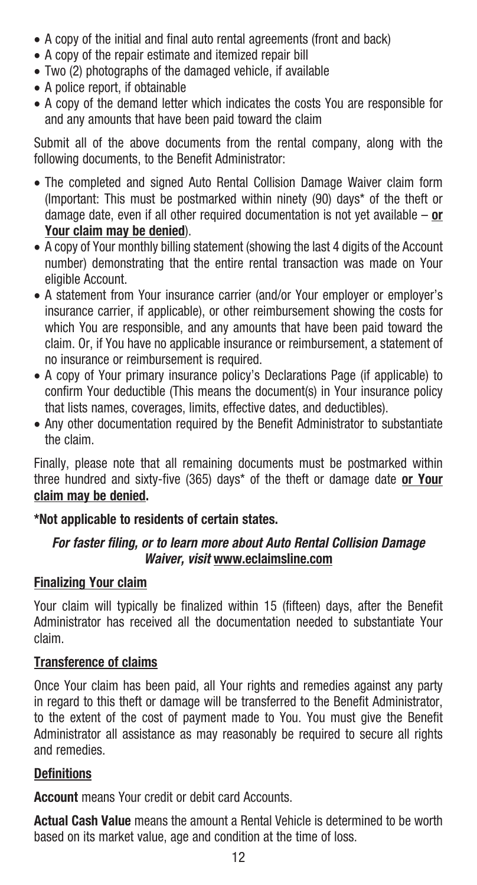- A copy of the initial and final auto rental agreements (front and back)
- A copy of the repair estimate and itemized repair bill
- Two (2) photographs of the damaged vehicle, if available
- A police report, if obtainable
- A copy of the demand letter which indicates the costs You are responsible for and any amounts that have been paid toward the claim

Submit all of the above documents from the rental company, along with the following documents, to the Benefit Administrator:

- The completed and signed Auto Rental Collision Damage Waiver claim form (Important: This must be postmarked within ninety (90) days\* of the theft or damage date, even if all other required documentation is not yet available – **or Your claim may be denied**).
- A copy of Your monthly billing statement (showing the last 4 digits of the Account number) demonstrating that the entire rental transaction was made on Your eligible Account.
- A statement from Your insurance carrier (and/or Your employer or employer's insurance carrier, if applicable), or other reimbursement showing the costs for which You are responsible, and any amounts that have been paid toward the claim. Or, if You have no applicable insurance or reimbursement, a statement of no insurance or reimbursement is required.
- A copy of Your primary insurance policy's Declarations Page (if applicable) to confirm Your deductible (This means the document(s) in Your insurance policy that lists names, coverages, limits, effective dates, and deductibles).
- Any other documentation required by the Benefit Administrator to substantiate the claim.

Finally, please note that all remaining documents must be postmarked within three hundred and sixty-five (365) days\* of the theft or damage date **or Your claim may be denied.**

# **\*Not applicable to residents of certain states.**

# *For faster filing, or to learn more about Auto Rental Collision Damage Waiver, visit* **www.eclaimsline.com**

# **Finalizing Your claim**

Your claim will typically be finalized within 15 (fifteen) days, after the Benefit Administrator has received all the documentation needed to substantiate Your claim.

# **Transference of claims**

Once Your claim has been paid, all Your rights and remedies against any party in regard to this theft or damage will be transferred to the Benefit Administrator, to the extent of the cost of payment made to You. You must give the Benefit Administrator all assistance as may reasonably be required to secure all rights and remedies.

# **Definitions**

**Account** means Your credit or debit card Accounts.

**Actual Cash Value** means the amount a Rental Vehicle is determined to be worth based on its market value, age and condition at the time of loss.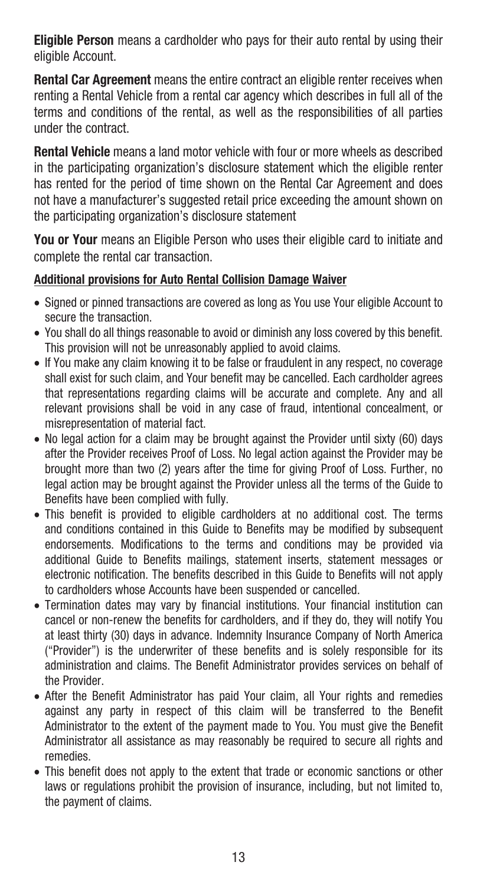**Eligible Person** means a cardholder who pays for their auto rental by using their eligible Account.

**Rental Car Agreement** means the entire contract an eligible renter receives when renting a Rental Vehicle from a rental car agency which describes in full all of the terms and conditions of the rental, as well as the responsibilities of all parties under the contract.

**Rental Vehicle** means a land motor vehicle with four or more wheels as described in the participating organization's disclosure statement which the eligible renter has rented for the period of time shown on the Rental Car Agreement and does not have a manufacturer's suggested retail price exceeding the amount shown on the participating organization's disclosure statement

**You or Your** means an Eligible Person who uses their eligible card to initiate and complete the rental car transaction.

#### **Additional provisions for Auto Rental Collision Damage Waiver**

- Signed or pinned transactions are covered as long as You use Your eligible Account to secure the transaction.
- You shall do all things reasonable to avoid or diminish any loss covered by this benefit. This provision will not be unreasonably applied to avoid claims.
- If You make any claim knowing it to be false or fraudulent in any respect, no coverage shall exist for such claim, and Your benefit may be cancelled. Each cardholder agrees that representations regarding claims will be accurate and complete. Any and all relevant provisions shall be void in any case of fraud, intentional concealment, or misrepresentation of material fact.
- No legal action for a claim may be brought against the Provider until sixty (60) days after the Provider receives Proof of Loss. No legal action against the Provider may be brought more than two (2) years after the time for giving Proof of Loss. Further, no legal action may be brought against the Provider unless all the terms of the Guide to Benefits have been complied with fully.
- This benefit is provided to eligible cardholders at no additional cost. The terms and conditions contained in this Guide to Benefits may be modified by subsequent endorsements. Modifications to the terms and conditions may be provided via additional Guide to Benefits mailings, statement inserts, statement messages or electronic notification. The benefits described in this Guide to Benefits will not apply to cardholders whose Accounts have been suspended or cancelled.
- Termination dates may vary by financial institutions. Your financial institution can cancel or non-renew the benefits for cardholders, and if they do, they will notify You at least thirty (30) days in advance. Indemnity Insurance Company of North America ("Provider") is the underwriter of these benefits and is solely responsible for its administration and claims. The Benefit Administrator provides services on behalf of the Provider.
- After the Benefit Administrator has paid Your claim, all Your rights and remedies against any party in respect of this claim will be transferred to the Benefit Administrator to the extent of the payment made to You. You must give the Benefit Administrator all assistance as may reasonably be required to secure all rights and remedies.
- This benefit does not apply to the extent that trade or economic sanctions or other laws or regulations prohibit the provision of insurance, including, but not limited to, the payment of claims.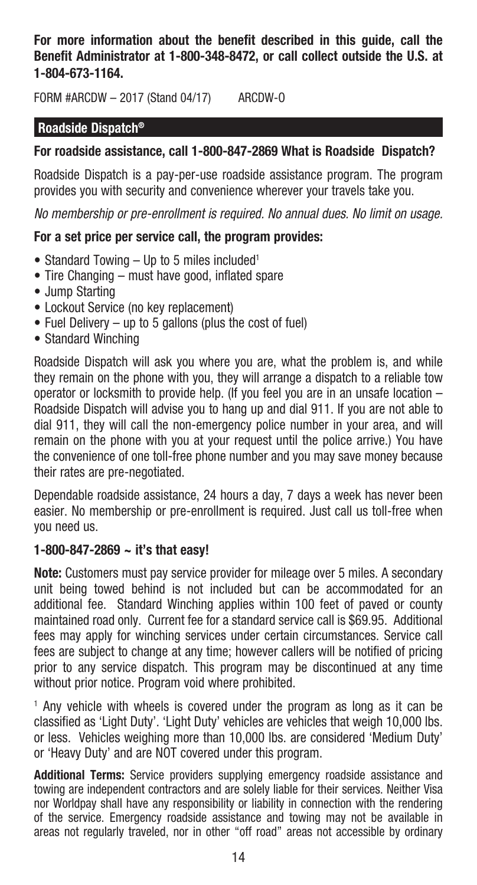**For more information about the benefit described in this guide, call the Benefit Administrator at 1-800-348-8472, or call collect outside the U.S. at 1-804-673-1164.**

FORM #ARCDW – 2017 (Stand 04/17) ARCDW-O

#### **Roadside Dispatch®**

#### **For roadside assistance, call 1-800-847-2869 What is Roadside Dispatch?**

Roadside Dispatch is a pay-per-use roadside assistance program. The program provides you with security and convenience wherever your travels take you.

*No membership or pre-enrollment is required. No annual dues. No limit on usage.*

#### **For a set price per service call, the program provides:**

- Standard Towing Up to 5 miles included<sup>1</sup>
- Tire Changing must have good, inflated spare
- Jump Starting
- Lockout Service (no key replacement)
- Fuel Delivery up to 5 gallons (plus the cost of fuel)
- Standard Winching

Roadside Dispatch will ask you where you are, what the problem is, and while they remain on the phone with you, they will arrange a dispatch to a reliable tow operator or locksmith to provide help. (If you feel you are in an unsafe location – Roadside Dispatch will advise you to hang up and dial 911. If you are not able to dial 911, they will call the non-emergency police number in your area, and will remain on the phone with you at your request until the police arrive.) You have the convenience of one toll-free phone number and you may save money because their rates are pre-negotiated.

Dependable roadside assistance, 24 hours a day, 7 days a week has never been easier. No membership or pre-enrollment is required. Just call us toll-free when you need us.

#### **1-800-847-2869 ~ it's that easy!**

**Note:** Customers must pay service provider for mileage over 5 miles. A secondary unit being towed behind is not included but can be accommodated for an additional fee. Standard Winching applies within 100 feet of paved or county maintained road only. Current fee for a standard service call is \$69.95. Additional fees may apply for winching services under certain circumstances. Service call fees are subject to change at any time; however callers will be notified of pricing prior to any service dispatch. This program may be discontinued at any time without prior notice. Program void where prohibited.

<sup>1</sup> Any vehicle with wheels is covered under the program as long as it can be classified as 'Light Duty'. 'Light Duty' vehicles are vehicles that weigh 10,000 lbs. or less. Vehicles weighing more than 10,000 lbs. are considered 'Medium Duty' or 'Heavy Duty' and are NOT covered under this program.

**Additional Terms:** Service providers supplying emergency roadside assistance and towing are independent contractors and are solely liable for their services. Neither Visa nor Worldpay shall have any responsibility or liability in connection with the rendering of the service. Emergency roadside assistance and towing may not be available in areas not regularly traveled, nor in other "off road" areas not accessible by ordinary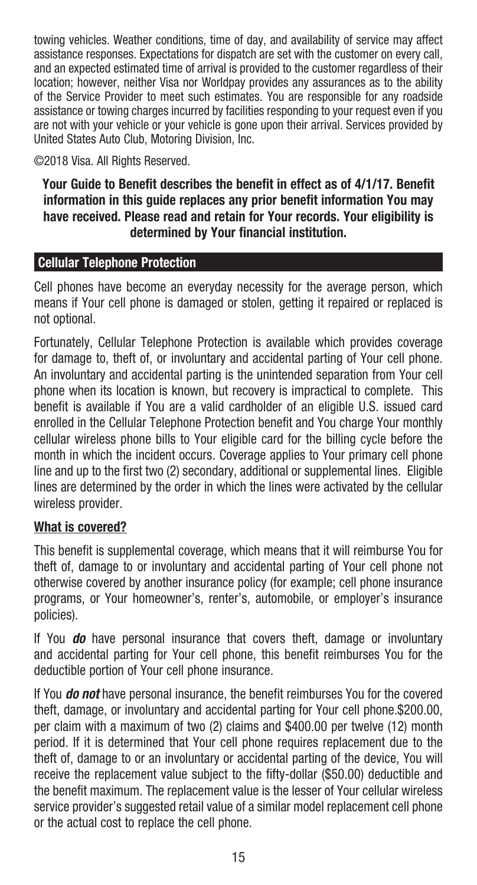towing vehicles. Weather conditions, time of day, and availability of service may affect assistance responses. Expectations for dispatch are set with the customer on every call, and an expected estimated time of arrival is provided to the customer regardless of their location; however, neither Visa nor Worldpay provides any assurances as to the ability of the Service Provider to meet such estimates. You are responsible for any roadside assistance or towing charges incurred by facilities responding to your request even if you are not with your vehicle or your vehicle is gone upon their arrival. Services provided by United States Auto Club, Motoring Division, Inc.

©2018 Visa. All Rights Reserved.

#### **Your Guide to Benefit describes the benefit in effect as of 4/1/17. Benefit information in this guide replaces any prior benefit information You may have received. Please read and retain for Your records. Your eligibility is determined by Your financial institution.**

# **Cellular Telephone Protection**

Cell phones have become an everyday necessity for the average person, which means if Your cell phone is damaged or stolen, getting it repaired or replaced is not optional.

Fortunately, Cellular Telephone Protection is available which provides coverage for damage to, theft of, or involuntary and accidental parting of Your cell phone. An involuntary and accidental parting is the unintended separation from Your cell phone when its location is known, but recovery is impractical to complete. This benefit is available if You are a valid cardholder of an eligible U.S. issued card enrolled in the Cellular Telephone Protection benefit and You charge Your monthly cellular wireless phone bills to Your eligible card for the billing cycle before the month in which the incident occurs. Coverage applies to Your primary cell phone line and up to the first two (2) secondary, additional or supplemental lines. Eligible lines are determined by the order in which the lines were activated by the cellular wireless provider.

# **What is covered?**

This benefit is supplemental coverage, which means that it will reimburse You for theft of, damage to or involuntary and accidental parting of Your cell phone not otherwise covered by another insurance policy (for example; cell phone insurance programs, or Your homeowner's, renter's, automobile, or employer's insurance policies).

If You *do* have personal insurance that covers theft, damage or involuntary and accidental parting for Your cell phone, this benefit reimburses You for the deductible portion of Your cell phone insurance.

If You *do not* have personal insurance, the benefit reimburses You for the covered theft, damage, or involuntary and accidental parting for Your cell phone.\$200.00, per claim with a maximum of two (2) claims and \$400.00 per twelve (12) month period. If it is determined that Your cell phone requires replacement due to the theft of, damage to or an involuntary or accidental parting of the device, You will receive the replacement value subject to the fifty-dollar (\$50.00) deductible and the benefit maximum. The replacement value is the lesser of Your cellular wireless service provider's suggested retail value of a similar model replacement cell phone or the actual cost to replace the cell phone.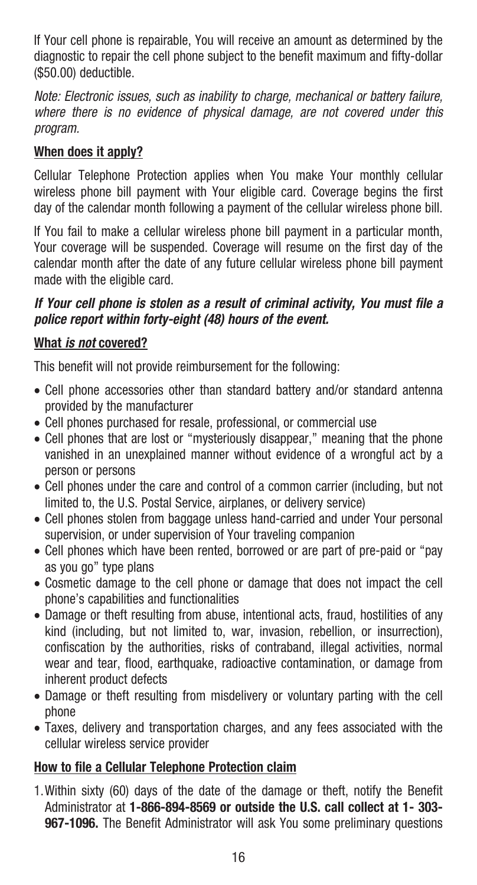If Your cell phone is repairable, You will receive an amount as determined by the diagnostic to repair the cell phone subject to the benefit maximum and fifty-dollar (\$50.00) deductible.

*Note: Electronic issues, such as inability to charge, mechanical or battery failure, where there is no evidence of physical damage, are not covered under this program.*

# **When does it apply?**

Cellular Telephone Protection applies when You make Your monthly cellular wireless phone bill payment with Your eligible card. Coverage begins the first day of the calendar month following a payment of the cellular wireless phone bill.

If You fail to make a cellular wireless phone bill payment in a particular month, Your coverage will be suspended. Coverage will resume on the first day of the calendar month after the date of any future cellular wireless phone bill payment made with the eligible card.

# *If Your cell phone is stolen as a result of criminal activity, You must file a police report within forty-eight (48) hours of the event.*

# **What** *is not* **covered?**

This benefit will not provide reimbursement for the following:

- Cell phone accessories other than standard battery and/or standard antenna provided by the manufacturer
- • Cell phones purchased for resale, professional, or commercial use
- Cell phones that are lost or "mysteriously disappear," meaning that the phone vanished in an unexplained manner without evidence of a wrongful act by a person or persons
- Cell phones under the care and control of a common carrier (including, but not limited to, the U.S. Postal Service, airplanes, or delivery service)
- Cell phones stolen from baggage unless hand-carried and under Your personal supervision, or under supervision of Your traveling companion
- Cell phones which have been rented, borrowed or are part of pre-paid or "pay as you go" type plans
- Cosmetic damage to the cell phone or damage that does not impact the cell phone's capabilities and functionalities
- Damage or theft resulting from abuse, intentional acts, fraud, hostilities of any kind (including, but not limited to, war, invasion, rebellion, or insurrection), confiscation by the authorities, risks of contraband, illegal activities, normal wear and tear, flood, earthquake, radioactive contamination, or damage from inherent product defects
- Damage or theft resulting from misdelivery or voluntary parting with the cell phone
- Taxes, delivery and transportation charges, and any fees associated with the cellular wireless service provider

# **How to file a Cellular Telephone Protection claim**

1.Within sixty (60) days of the date of the damage or theft, notify the Benefit Administrator at **1-866-894-8569 or outside the U.S. call collect at 1- 303- 967-1096.** The Benefit Administrator will ask You some preliminary questions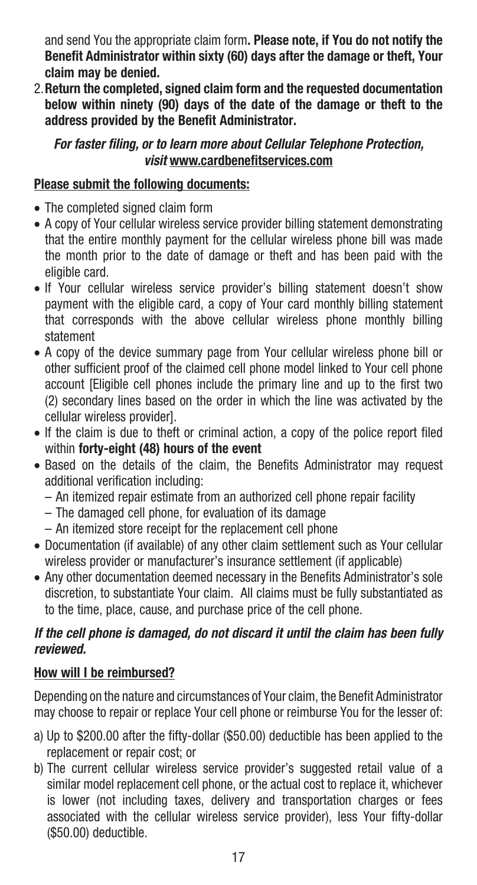and send You the appropriate claim form**. Please note, if You do not notify the Benefit Administrator within sixty (60) days after the damage or theft, Your claim may be denied.**

2.**Return the completed, signed claim form and the requested documentation below within ninety (90) days of the date of the damage or theft to the address provided by the Benefit Administrator.** 

# *For faster filing, or to learn more about Cellular Telephone Protection, visit* **www.cardbenefitservices.com**

# **Please submit the following documents:**

- The completed signed claim form
- A copy of Your cellular wireless service provider billing statement demonstrating that the entire monthly payment for the cellular wireless phone bill was made the month prior to the date of damage or theft and has been paid with the eligible card.
- If Your cellular wireless service provider's billing statement doesn't show payment with the eligible card, a copy of Your card monthly billing statement that corresponds with the above cellular wireless phone monthly billing statement
- A copy of the device summary page from Your cellular wireless phone bill or other sufficient proof of the claimed cell phone model linked to Your cell phone account [Eligible cell phones include the primary line and up to the first two (2) secondary lines based on the order in which the line was activated by the cellular wireless provider].
- If the claim is due to theft or criminal action, a copy of the police report filed within **forty-eight (48) hours of the event**
- Based on the details of the claim, the Benefits Administrator may request additional verification including:
	- An itemized repair estimate from an authorized cell phone repair facility
	- The damaged cell phone, for evaluation of its damage
	- An itemized store receipt for the replacement cell phone
- Documentation (if available) of any other claim settlement such as Your cellular wireless provider or manufacturer's insurance settlement (if applicable)
- Any other documentation deemed necessary in the Benefits Administrator's sole discretion, to substantiate Your claim. All claims must be fully substantiated as to the time, place, cause, and purchase price of the cell phone.

# *If the cell phone is damaged, do not discard it until the claim has been fully reviewed.*

# **How will I be reimbursed?**

Depending on the nature and circumstances of Your claim, the Benefit Administrator may choose to repair or replace Your cell phone or reimburse You for the lesser of:

- a) Up to \$200.00 after the fifty-dollar (\$50.00) deductible has been applied to the replacement or repair cost; or
- b) The current cellular wireless service provider's suggested retail value of a similar model replacement cell phone, or the actual cost to replace it, whichever is lower (not including taxes, delivery and transportation charges or fees associated with the cellular wireless service provider), less Your fifty-dollar (\$50.00) deductible.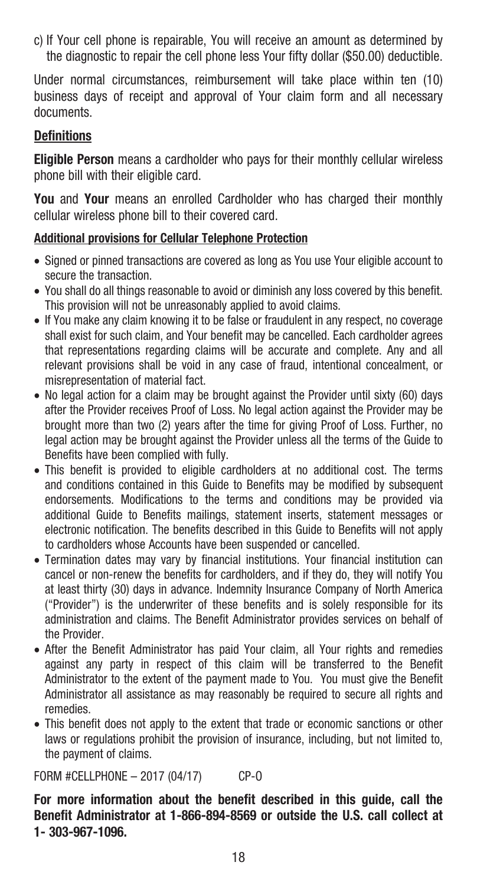c) If Your cell phone is repairable, You will receive an amount as determined by the diagnostic to repair the cell phone less Your fifty dollar (\$50.00) deductible.

Under normal circumstances, reimbursement will take place within ten (10) business days of receipt and approval of Your claim form and all necessary documents.

#### **Definitions**

**Eligible Person** means a cardholder who pays for their monthly cellular wireless phone bill with their eligible card.

**You** and **Your** means an enrolled Cardholder who has charged their monthly cellular wireless phone bill to their covered card.

#### **Additional provisions for Cellular Telephone Protection**

- Signed or pinned transactions are covered as long as You use Your eligible account to secure the transaction.
- • You shall do all things reasonable to avoid or diminish any loss covered by this benefit. This provision will not be unreasonably applied to avoid claims.
- If You make any claim knowing it to be false or fraudulent in any respect, no coverage shall exist for such claim, and Your benefit may be cancelled. Each cardholder agrees that representations regarding claims will be accurate and complete. Any and all relevant provisions shall be void in any case of fraud, intentional concealment, or misrepresentation of material fact.
- No legal action for a claim may be brought against the Provider until sixty (60) days after the Provider receives Proof of Loss. No legal action against the Provider may be brought more than two (2) years after the time for giving Proof of Loss. Further, no legal action may be brought against the Provider unless all the terms of the Guide to Benefits have been complied with fully.
- This benefit is provided to eligible cardholders at no additional cost. The terms and conditions contained in this Guide to Benefits may be modified by subsequent endorsements. Modifications to the terms and conditions may be provided via additional Guide to Benefits mailings, statement inserts, statement messages or electronic notification. The benefits described in this Guide to Benefits will not apply to cardholders whose Accounts have been suspended or cancelled.
- • Termination dates may vary by financial institutions. Your financial institution can cancel or non-renew the benefits for cardholders, and if they do, they will notify You at least thirty (30) days in advance. Indemnity Insurance Company of North America ("Provider") is the underwriter of these benefits and is solely responsible for its administration and claims. The Benefit Administrator provides services on behalf of the Provider.
- After the Benefit Administrator has paid Your claim, all Your rights and remedies against any party in respect of this claim will be transferred to the Benefit Administrator to the extent of the payment made to You. You must give the Benefit Administrator all assistance as may reasonably be required to secure all rights and remedies.
- This benefit does not apply to the extent that trade or economic sanctions or other laws or regulations prohibit the provision of insurance, including, but not limited to, the payment of claims.

FORM #CELLPHONE – 2017 (04/17) CP-O

**For more information about the benefit described in this guide, call the Benefit Administrator at 1-866-894-8569 or outside the U.S. call collect at 1- 303-967-1096.**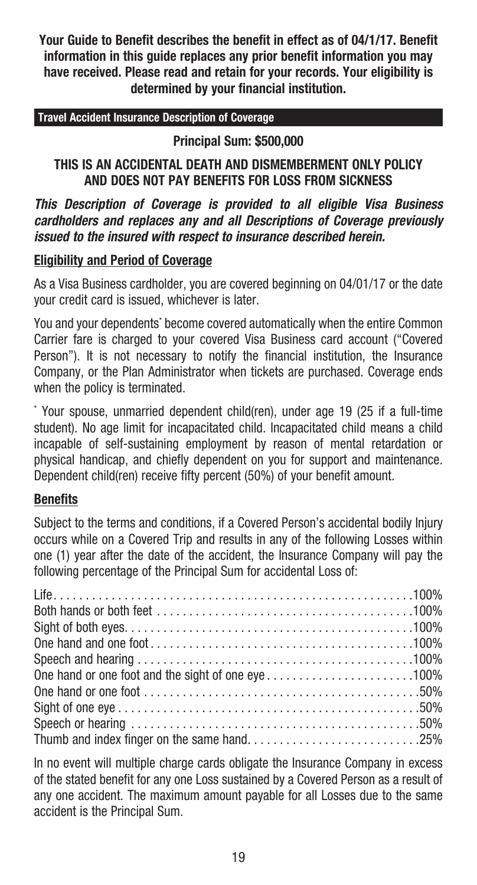**Your Guide to Benefit describes the benefit in effect as of 04/1/17. Benefit information in this guide replaces any prior benefit information you may have received. Please read and retain for your records. Your eligibility is determined by your financial institution.**

#### **Travel Accident Insurance Description of Coverage**

**Principal Sum: \$500,000**

#### **THIS IS AN ACCIDENTAL DEATH AND DISMEMBERMENT ONLY POLICY AND DOES NOT PAY BENEFITS FOR LOSS FROM SICKNESS**

*This Description of Coverage is provided to all eligible Visa Business cardholders and replaces any and all Descriptions of Coverage previously issued to the insured with respect to insurance described herein.*

#### **Eligibility and Period of Coverage**

As a Visa Business cardholder, you are covered beginning on 04/01/17 or the date your credit card is issued, whichever is later.

You and your dependents' become covered automatically when the entire Common Carrier fare is charged to your covered Visa Business card account ("Covered Person"). It is not necessary to notify the financial institution, the Insurance Company, or the Plan Administrator when tickets are purchased. Coverage ends when the policy is terminated.

\* Your spouse, unmarried dependent child(ren), under age 19 (25 if a full-time student). No age limit for incapacitated child. Incapacitated child means a child incapable of self-sustaining employment by reason of mental retardation or physical handicap, and chiefly dependent on you for support and maintenance. Dependent child(ren) receive fifty percent (50%) of your benefit amount.

#### **Benefits**

Subject to the terms and conditions, if a Covered Person's accidental bodily Injury occurs while on a Covered Trip and results in any of the following Losses within one (1) year after the date of the accident, the Insurance Company will pay the following percentage of the Principal Sum for accidental Loss of:

| Both hands or both feet $\ldots, \ldots, \ldots, \ldots, \ldots, \ldots, \ldots, \ldots, \ldots, 100\%$ |
|---------------------------------------------------------------------------------------------------------|
|                                                                                                         |
|                                                                                                         |
|                                                                                                         |
| 0.100% One hand or one foot and the sight of one eye100                                                 |
|                                                                                                         |
|                                                                                                         |
|                                                                                                         |
|                                                                                                         |

In no event will multiple charge cards obligate the Insurance Company in excess of the stated benefit for any one Loss sustained by a Covered Person as a result of any one accident. The maximum amount payable for all Losses due to the same accident is the Principal Sum.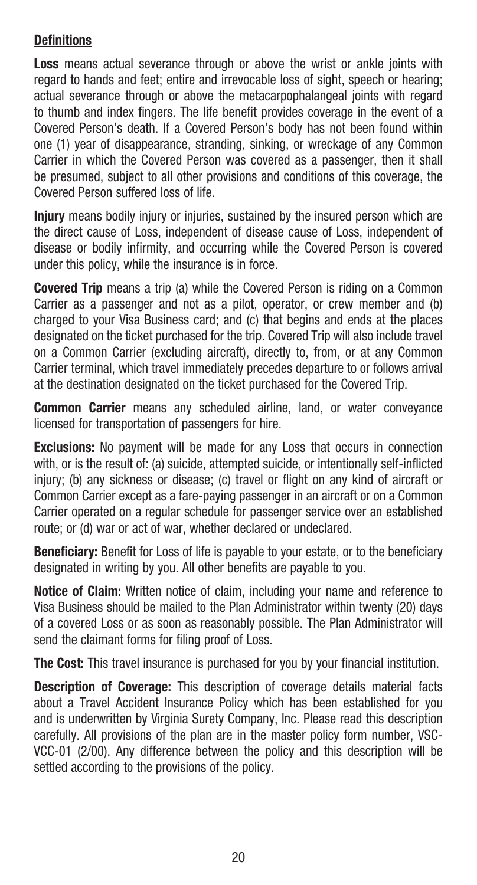# **Definitions**

**Loss** means actual severance through or above the wrist or ankle joints with regard to hands and feet; entire and irrevocable loss of sight, speech or hearing; actual severance through or above the metacarpophalangeal joints with regard to thumb and index fingers. The life benefit provides coverage in the event of a Covered Person's death. If a Covered Person's body has not been found within one (1) year of disappearance, stranding, sinking, or wreckage of any Common Carrier in which the Covered Person was covered as a passenger, then it shall be presumed, subject to all other provisions and conditions of this coverage, the Covered Person suffered loss of life.

**Injury** means bodily injury or injuries, sustained by the insured person which are the direct cause of Loss, independent of disease cause of Loss, independent of disease or bodily infirmity, and occurring while the Covered Person is covered under this policy, while the insurance is in force.

**Covered Trip** means a trip (a) while the Covered Person is riding on a Common Carrier as a passenger and not as a pilot, operator, or crew member and (b) charged to your Visa Business card; and (c) that begins and ends at the places designated on the ticket purchased for the trip. Covered Trip will also include travel on a Common Carrier (excluding aircraft), directly to, from, or at any Common Carrier terminal, which travel immediately precedes departure to or follows arrival at the destination designated on the ticket purchased for the Covered Trip.

**Common Carrier** means any scheduled airline, land, or water conveyance licensed for transportation of passengers for hire.

**Exclusions:** No payment will be made for any Loss that occurs in connection with, or is the result of: (a) suicide, attempted suicide, or intentionally self-inflicted injury; (b) any sickness or disease; (c) travel or flight on any kind of aircraft or Common Carrier except as a fare-paying passenger in an aircraft or on a Common Carrier operated on a regular schedule for passenger service over an established route; or (d) war or act of war, whether declared or undeclared.

**Beneficiary:** Benefit for Loss of life is payable to your estate, or to the beneficiary designated in writing by you. All other benefits are payable to you.

**Notice of Claim:** Written notice of claim, including your name and reference to Visa Business should be mailed to the Plan Administrator within twenty (20) days of a covered Loss or as soon as reasonably possible. The Plan Administrator will send the claimant forms for filing proof of Loss.

**The Cost:** This travel insurance is purchased for you by your financial institution.

**Description of Coverage:** This description of coverage details material facts about a Travel Accident Insurance Policy which has been established for you and is underwritten by Virginia Surety Company, Inc. Please read this description carefully. All provisions of the plan are in the master policy form number, VSC-VCC-01 (2/00). Any difference between the policy and this description will be settled according to the provisions of the policy.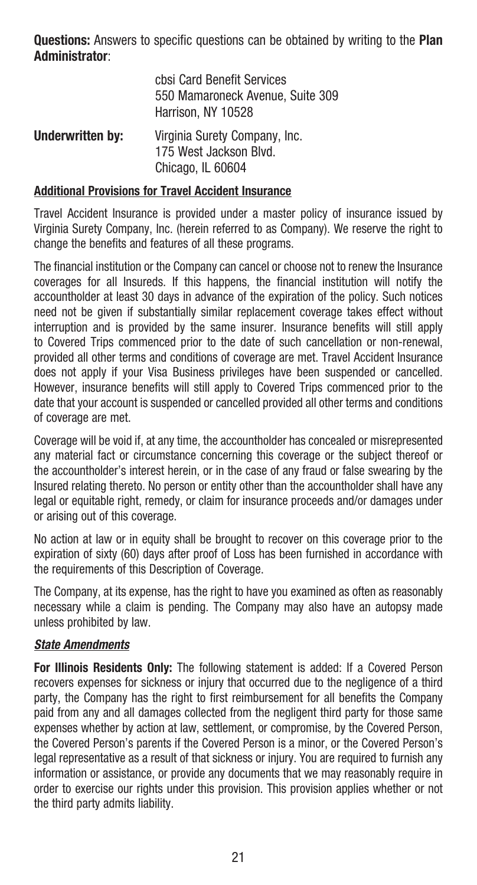**Questions:** Answers to specific questions can be obtained by writing to the **Plan Administrator**:

|                         | cbsi Card Benefit Services<br>550 Mamaroneck Avenue, Suite 309<br>Harrison. NY 10528 |
|-------------------------|--------------------------------------------------------------------------------------|
| <b>Underwritten by:</b> | Virginia Surety Company, Inc.<br>175 West Jackson Blvd.<br>Chicago. IL 60604         |

#### **Additional Provisions for Travel Accident Insurance**

Travel Accident Insurance is provided under a master policy of insurance issued by Virginia Surety Company, Inc. (herein referred to as Company). We reserve the right to change the benefits and features of all these programs.

The financial institution or the Company can cancel or choose not to renew the Insurance coverages for all Insureds. If this happens, the financial institution will notify the accountholder at least 30 days in advance of the expiration of the policy. Such notices need not be given if substantially similar replacement coverage takes effect without interruption and is provided by the same insurer. Insurance benefits will still apply to Covered Trips commenced prior to the date of such cancellation or non-renewal, provided all other terms and conditions of coverage are met. Travel Accident Insurance does not apply if your Visa Business privileges have been suspended or cancelled. However, insurance benefits will still apply to Covered Trips commenced prior to the date that your account is suspended or cancelled provided all other terms and conditions of coverage are met.

Coverage will be void if, at any time, the accountholder has concealed or misrepresented any material fact or circumstance concerning this coverage or the subject thereof or the accountholder's interest herein, or in the case of any fraud or false swearing by the Insured relating thereto. No person or entity other than the accountholder shall have any legal or equitable right, remedy, or claim for insurance proceeds and/or damages under or arising out of this coverage.

No action at law or in equity shall be brought to recover on this coverage prior to the expiration of sixty (60) days after proof of Loss has been furnished in accordance with the requirements of this Description of Coverage.

The Company, at its expense, has the right to have you examined as often as reasonably necessary while a claim is pending. The Company may also have an autopsy made unless prohibited by law.

#### *State Amendments*

**For Illinois Residents Only:** The following statement is added: If a Covered Person recovers expenses for sickness or injury that occurred due to the negligence of a third party, the Company has the right to first reimbursement for all benefits the Company paid from any and all damages collected from the negligent third party for those same expenses whether by action at law, settlement, or compromise, by the Covered Person, the Covered Person's parents if the Covered Person is a minor, or the Covered Person's legal representative as a result of that sickness or injury. You are required to furnish any information or assistance, or provide any documents that we may reasonably require in order to exercise our rights under this provision. This provision applies whether or not the third party admits liability.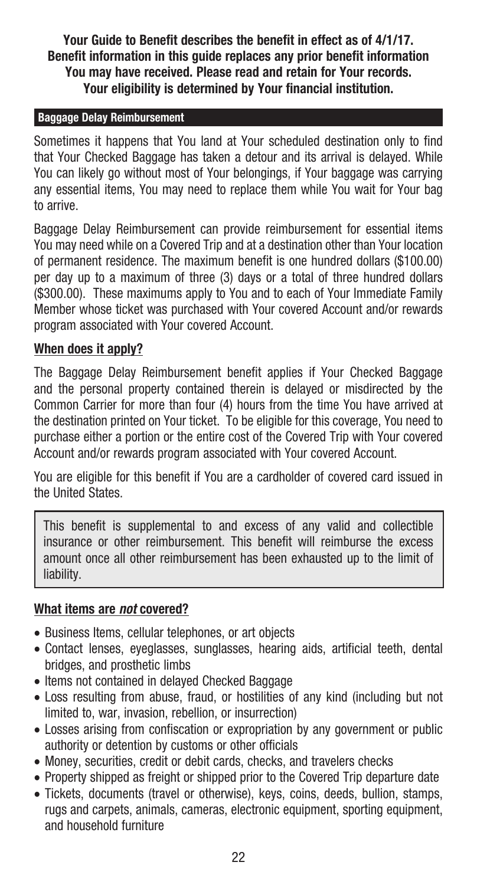**Your Guide to Benefit describes the benefit in effect as of 4/1/17. Benefit information in this guide replaces any prior benefit information You may have received. Please read and retain for Your records. Your eligibility is determined by Your financial institution.**

#### **Baggage Delay Reimbursement**

Sometimes it happens that You land at Your scheduled destination only to find that Your Checked Baggage has taken a detour and its arrival is delayed. While You can likely go without most of Your belongings, if Your baggage was carrying any essential items, You may need to replace them while You wait for Your bag to arrive.

Baggage Delay Reimbursement can provide reimbursement for essential items You may need while on a Covered Trip and at a destination other than Your location of permanent residence. The maximum benefit is one hundred dollars (\$100.00) per day up to a maximum of three (3) days or a total of three hundred dollars (\$300.00). These maximums apply to You and to each of Your Immediate Family Member whose ticket was purchased with Your covered Account and/or rewards program associated with Your covered Account.

#### **When does it apply?**

The Baggage Delay Reimbursement benefit applies if Your Checked Baggage and the personal property contained therein is delayed or misdirected by the Common Carrier for more than four (4) hours from the time You have arrived at the destination printed on Your ticket. To be eligible for this coverage, You need to purchase either a portion or the entire cost of the Covered Trip with Your covered Account and/or rewards program associated with Your covered Account.

You are eligible for this benefit if You are a cardholder of covered card issued in the United States.

This benefit is supplemental to and excess of any valid and collectible insurance or other reimbursement. This benefit will reimburse the excess amount once all other reimbursement has been exhausted up to the limit of liability.

#### **What items are** *not* **covered?**

- Business Items, cellular telephones, or art objects
- • Contact lenses, eyeglasses, sunglasses, hearing aids, artificial teeth, dental bridges, and prosthetic limbs
- Items not contained in delayed Checked Baggage
- Loss resulting from abuse, fraud, or hostilities of any kind (including but not limited to, war, invasion, rebellion, or insurrection)
- Losses arising from confiscation or expropriation by any government or public authority or detention by customs or other officials
- Money, securities, credit or debit cards, checks, and travelers checks
- Property shipped as freight or shipped prior to the Covered Trip departure date
- Tickets, documents (travel or otherwise), keys, coins, deeds, bullion, stamps, rugs and carpets, animals, cameras, electronic equipment, sporting equipment, and household furniture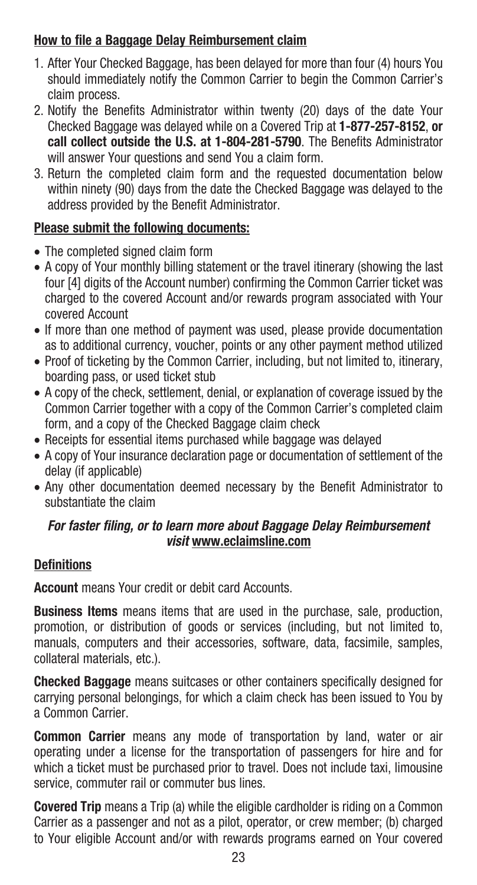# **How to file a Baggage Delay Reimbursement claim**

- 1. After Your Checked Baggage, has been delayed for more than four (4) hours You should immediately notify the Common Carrier to begin the Common Carrier's claim process.
- 2. Notify the Benefits Administrator within twenty (20) days of the date Your Checked Baggage was delayed while on a Covered Trip at **1-877-257-8152**, **or call collect outside the U.S. at 1-804-281-5790**. The Benefits Administrator will answer Your questions and send You a claim form.
- 3. Return the completed claim form and the requested documentation below within ninety (90) days from the date the Checked Baggage was delayed to the address provided by the Benefit Administrator.

# **Please submit the following documents:**

- The completed signed claim form
- A copy of Your monthly billing statement or the travel itinerary (showing the last four [4] digits of the Account number) confirming the Common Carrier ticket was charged to the covered Account and/or rewards program associated with Your covered Account
- If more than one method of payment was used, please provide documentation as to additional currency, voucher, points or any other payment method utilized
- Proof of ticketing by the Common Carrier, including, but not limited to, itinerary, boarding pass, or used ticket stub
- A copy of the check, settlement, denial, or explanation of coverage issued by the Common Carrier together with a copy of the Common Carrier's completed claim form, and a copy of the Checked Baggage claim check
- Receipts for essential items purchased while baggage was delayed
- A copy of Your insurance declaration page or documentation of settlement of the delay (if applicable)
- Any other documentation deemed necessary by the Benefit Administrator to substantiate the claim

# *For faster filing, or to learn more about Baggage Delay Reimbursement visit* **www.eclaimsline.com**

# **Definitions**

**Account** means Your credit or debit card Accounts.

**Business Items** means items that are used in the purchase, sale, production, promotion, or distribution of goods or services (including, but not limited to, manuals, computers and their accessories, software, data, facsimile, samples, collateral materials, etc.).

**Checked Baggage** means suitcases or other containers specifically designed for carrying personal belongings, for which a claim check has been issued to You by a Common Carrier.

**Common Carrier** means any mode of transportation by land, water or air operating under a license for the transportation of passengers for hire and for which a ticket must be purchased prior to travel. Does not include taxi, limousine service, commuter rail or commuter bus lines.

**Covered Trip** means a Trip (a) while the eligible cardholder is riding on a Common Carrier as a passenger and not as a pilot, operator, or crew member; (b) charged to Your eligible Account and/or with rewards programs earned on Your covered